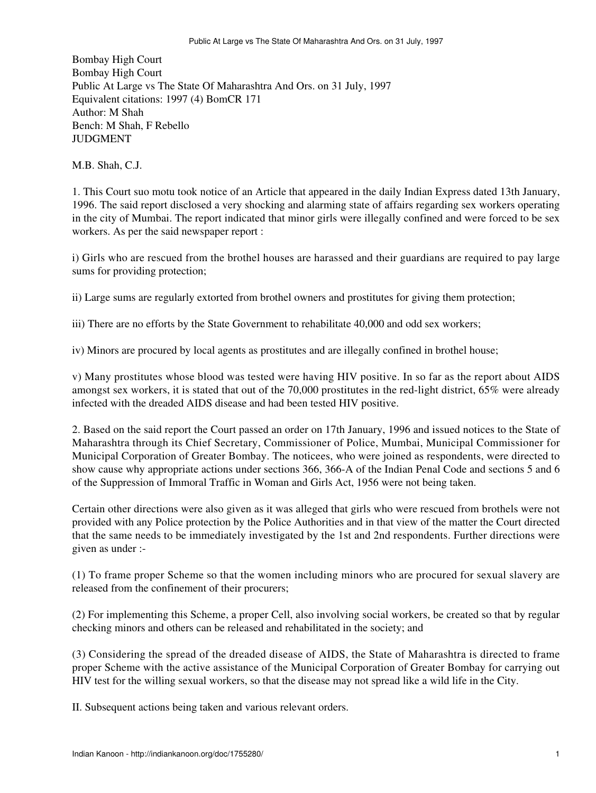Bombay High Court Bombay High Court Public At Large vs The State Of Maharashtra And Ors. on 31 July, 1997 Equivalent citations: 1997 (4) BomCR 171 Author: M Shah Bench: M Shah, F Rebello JUDGMENT

M.B. Shah, C.J.

1. This Court suo motu took notice of an Article that appeared in the daily Indian Express dated 13th January, 1996. The said report disclosed a very shocking and alarming state of affairs regarding sex workers operating in the city of Mumbai. The report indicated that minor girls were illegally confined and were forced to be sex workers. As per the said newspaper report :

i) Girls who are rescued from the brothel houses are harassed and their guardians are required to pay large sums for providing protection;

ii) Large sums are regularly extorted from brothel owners and prostitutes for giving them protection;

iii) There are no efforts by the State Government to rehabilitate 40,000 and odd sex workers;

iv) Minors are procured by local agents as prostitutes and are illegally confined in brothel house;

v) Many prostitutes whose blood was tested were having HIV positive. In so far as the report about AIDS amongst sex workers, it is stated that out of the 70,000 prostitutes in the red-light district, 65% were already infected with the dreaded AIDS disease and had been tested HIV positive.

2. Based on the said report the Court passed an order on 17th January, 1996 and issued notices to the State of Maharashtra through its Chief Secretary, Commissioner of Police, Mumbai, Municipal Commissioner for Municipal Corporation of Greater Bombay. The noticees, who were joined as respondents, were directed to show cause why appropriate actions under sections 366, 366-A of the Indian Penal Code and sections 5 and 6 of the Suppression of Immoral Traffic in Woman and Girls Act, 1956 were not being taken.

Certain other directions were also given as it was alleged that girls who were rescued from brothels were not provided with any Police protection by the Police Authorities and in that view of the matter the Court directed that the same needs to be immediately investigated by the 1st and 2nd respondents. Further directions were given as under :-

(1) To frame proper Scheme so that the women including minors who are procured for sexual slavery are released from the confinement of their procurers;

(2) For implementing this Scheme, a proper Cell, also involving social workers, be created so that by regular checking minors and others can be released and rehabilitated in the society; and

(3) Considering the spread of the dreaded disease of AIDS, the State of Maharashtra is directed to frame proper Scheme with the active assistance of the Municipal Corporation of Greater Bombay for carrying out HIV test for the willing sexual workers, so that the disease may not spread like a wild life in the City.

II. Subsequent actions being taken and various relevant orders.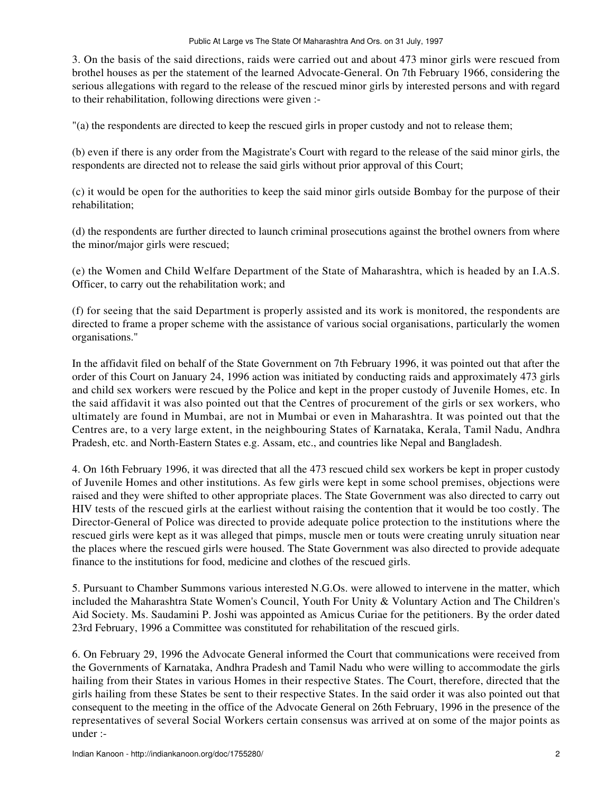3. On the basis of the said directions, raids were carried out and about 473 minor girls were rescued from brothel houses as per the statement of the learned Advocate-General. On 7th February 1966, considering the serious allegations with regard to the release of the rescued minor girls by interested persons and with regard to their rehabilitation, following directions were given :-

"(a) the respondents are directed to keep the rescued girls in proper custody and not to release them;

(b) even if there is any order from the Magistrate's Court with regard to the release of the said minor girls, the respondents are directed not to release the said girls without prior approval of this Court;

(c) it would be open for the authorities to keep the said minor girls outside Bombay for the purpose of their rehabilitation;

(d) the respondents are further directed to launch criminal prosecutions against the brothel owners from where the minor/major girls were rescued;

(e) the Women and Child Welfare Department of the State of Maharashtra, which is headed by an I.A.S. Officer, to carry out the rehabilitation work; and

(f) for seeing that the said Department is properly assisted and its work is monitored, the respondents are directed to frame a proper scheme with the assistance of various social organisations, particularly the women organisations."

In the affidavit filed on behalf of the State Government on 7th February 1996, it was pointed out that after the order of this Court on January 24, 1996 action was initiated by conducting raids and approximately 473 girls and child sex workers were rescued by the Police and kept in the proper custody of Juvenile Homes, etc. In the said affidavit it was also pointed out that the Centres of procurement of the girls or sex workers, who ultimately are found in Mumbai, are not in Mumbai or even in Maharashtra. It was pointed out that the Centres are, to a very large extent, in the neighbouring States of Karnataka, Kerala, Tamil Nadu, Andhra Pradesh, etc. and North-Eastern States e.g. Assam, etc., and countries like Nepal and Bangladesh.

4. On 16th February 1996, it was directed that all the 473 rescued child sex workers be kept in proper custody of Juvenile Homes and other institutions. As few girls were kept in some school premises, objections were raised and they were shifted to other appropriate places. The State Government was also directed to carry out HIV tests of the rescued girls at the earliest without raising the contention that it would be too costly. The Director-General of Police was directed to provide adequate police protection to the institutions where the rescued girls were kept as it was alleged that pimps, muscle men or touts were creating unruly situation near the places where the rescued girls were housed. The State Government was also directed to provide adequate finance to the institutions for food, medicine and clothes of the rescued girls.

5. Pursuant to Chamber Summons various interested N.G.Os. were allowed to intervene in the matter, which included the Maharashtra State Women's Council, Youth For Unity & Voluntary Action and The Children's Aid Society. Ms. Saudamini P. Joshi was appointed as Amicus Curiae for the petitioners. By the order dated 23rd February, 1996 a Committee was constituted for rehabilitation of the rescued girls.

6. On February 29, 1996 the Advocate General informed the Court that communications were received from the Governments of Karnataka, Andhra Pradesh and Tamil Nadu who were willing to accommodate the girls hailing from their States in various Homes in their respective States. The Court, therefore, directed that the girls hailing from these States be sent to their respective States. In the said order it was also pointed out that consequent to the meeting in the office of the Advocate General on 26th February, 1996 in the presence of the representatives of several Social Workers certain consensus was arrived at on some of the major points as under :-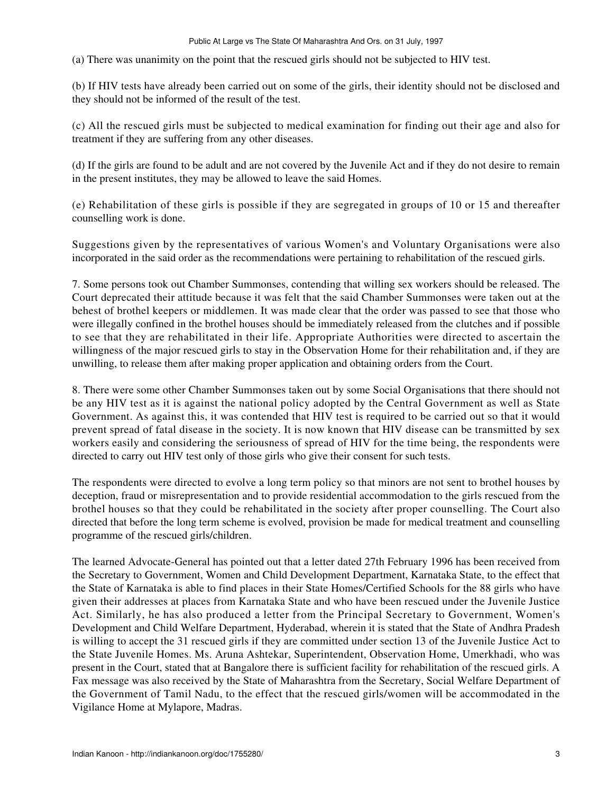(a) There was unanimity on the point that the rescued girls should not be subjected to HIV test.

(b) If HIV tests have already been carried out on some of the girls, their identity should not be disclosed and they should not be informed of the result of the test.

(c) All the rescued girls must be subjected to medical examination for finding out their age and also for treatment if they are suffering from any other diseases.

(d) If the girls are found to be adult and are not covered by the Juvenile Act and if they do not desire to remain in the present institutes, they may be allowed to leave the said Homes.

(e) Rehabilitation of these girls is possible if they are segregated in groups of 10 or 15 and thereafter counselling work is done.

Suggestions given by the representatives of various Women's and Voluntary Organisations were also incorporated in the said order as the recommendations were pertaining to rehabilitation of the rescued girls.

7. Some persons took out Chamber Summonses, contending that willing sex workers should be released. The Court deprecated their attitude because it was felt that the said Chamber Summonses were taken out at the behest of brothel keepers or middlemen. It was made clear that the order was passed to see that those who were illegally confined in the brothel houses should be immediately released from the clutches and if possible to see that they are rehabilitated in their life. Appropriate Authorities were directed to ascertain the willingness of the major rescued girls to stay in the Observation Home for their rehabilitation and, if they are unwilling, to release them after making proper application and obtaining orders from the Court.

8. There were some other Chamber Summonses taken out by some Social Organisations that there should not be any HIV test as it is against the national policy adopted by the Central Government as well as State Government. As against this, it was contended that HIV test is required to be carried out so that it would prevent spread of fatal disease in the society. It is now known that HIV disease can be transmitted by sex workers easily and considering the seriousness of spread of HIV for the time being, the respondents were directed to carry out HIV test only of those girls who give their consent for such tests.

The respondents were directed to evolve a long term policy so that minors are not sent to brothel houses by deception, fraud or misrepresentation and to provide residential accommodation to the girls rescued from the brothel houses so that they could be rehabilitated in the society after proper counselling. The Court also directed that before the long term scheme is evolved, provision be made for medical treatment and counselling programme of the rescued girls/children.

The learned Advocate-General has pointed out that a letter dated 27th February 1996 has been received from the Secretary to Government, Women and Child Development Department, Karnataka State, to the effect that the State of Karnataka is able to find places in their State Homes/Certified Schools for the 88 girls who have given their addresses at places from Karnataka State and who have been rescued under the Juvenile Justice Act. Similarly, he has also produced a letter from the Principal Secretary to Government, Women's Development and Child Welfare Department, Hyderabad, wherein it is stated that the State of Andhra Pradesh is willing to accept the 31 rescued girls if they are committed under section 13 of the Juvenile Justice Act to the State Juvenile Homes. Ms. Aruna Ashtekar, Superintendent, Observation Home, Umerkhadi, who was present in the Court, stated that at Bangalore there is sufficient facility for rehabilitation of the rescued girls. A Fax message was also received by the State of Maharashtra from the Secretary, Social Welfare Department of the Government of Tamil Nadu, to the effect that the rescued girls/women will be accommodated in the Vigilance Home at Mylapore, Madras.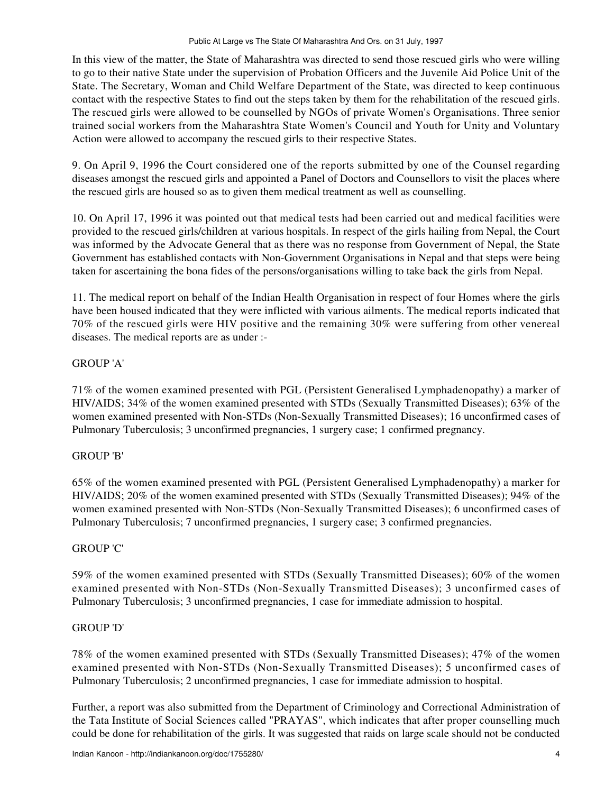In this view of the matter, the State of Maharashtra was directed to send those rescued girls who were willing to go to their native State under the supervision of Probation Officers and the Juvenile Aid Police Unit of the State. The Secretary, Woman and Child Welfare Department of the State, was directed to keep continuous contact with the respective States to find out the steps taken by them for the rehabilitation of the rescued girls. The rescued girls were allowed to be counselled by NGOs of private Women's Organisations. Three senior trained social workers from the Maharashtra State Women's Council and Youth for Unity and Voluntary Action were allowed to accompany the rescued girls to their respective States.

9. On April 9, 1996 the Court considered one of the reports submitted by one of the Counsel regarding diseases amongst the rescued girls and appointed a Panel of Doctors and Counsellors to visit the places where the rescued girls are housed so as to given them medical treatment as well as counselling.

10. On April 17, 1996 it was pointed out that medical tests had been carried out and medical facilities were provided to the rescued girls/children at various hospitals. In respect of the girls hailing from Nepal, the Court was informed by the Advocate General that as there was no response from Government of Nepal, the State Government has established contacts with Non-Government Organisations in Nepal and that steps were being taken for ascertaining the bona fides of the persons/organisations willing to take back the girls from Nepal.

11. The medical report on behalf of the Indian Health Organisation in respect of four Homes where the girls have been housed indicated that they were inflicted with various ailments. The medical reports indicated that 70% of the rescued girls were HIV positive and the remaining 30% were suffering from other venereal diseases. The medical reports are as under :-

# GROUP 'A'

71% of the women examined presented with PGL (Persistent Generalised Lymphadenopathy) a marker of HIV/AIDS; 34% of the women examined presented with STDs (Sexually Transmitted Diseases); 63% of the women examined presented with Non-STDs (Non-Sexually Transmitted Diseases); 16 unconfirmed cases of Pulmonary Tuberculosis; 3 unconfirmed pregnancies, 1 surgery case; 1 confirmed pregnancy.

# GROUP 'B'

65% of the women examined presented with PGL (Persistent Generalised Lymphadenopathy) a marker for HIV/AIDS; 20% of the women examined presented with STDs (Sexually Transmitted Diseases); 94% of the women examined presented with Non-STDs (Non-Sexually Transmitted Diseases); 6 unconfirmed cases of Pulmonary Tuberculosis; 7 unconfirmed pregnancies, 1 surgery case; 3 confirmed pregnancies.

# GROUP 'C'

59% of the women examined presented with STDs (Sexually Transmitted Diseases); 60% of the women examined presented with Non-STDs (Non-Sexually Transmitted Diseases); 3 unconfirmed cases of Pulmonary Tuberculosis; 3 unconfirmed pregnancies, 1 case for immediate admission to hospital.

# GROUP 'D'

78% of the women examined presented with STDs (Sexually Transmitted Diseases); 47% of the women examined presented with Non-STDs (Non-Sexually Transmitted Diseases); 5 unconfirmed cases of Pulmonary Tuberculosis; 2 unconfirmed pregnancies, 1 case for immediate admission to hospital.

Further, a report was also submitted from the Department of Criminology and Correctional Administration of the Tata Institute of Social Sciences called "PRAYAS", which indicates that after proper counselling much could be done for rehabilitation of the girls. It was suggested that raids on large scale should not be conducted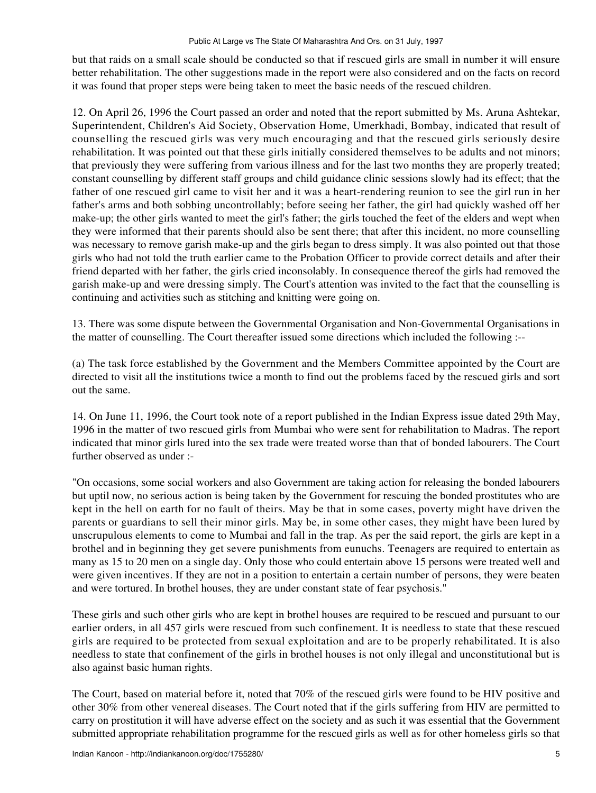but that raids on a small scale should be conducted so that if rescued girls are small in number it will ensure better rehabilitation. The other suggestions made in the report were also considered and on the facts on record it was found that proper steps were being taken to meet the basic needs of the rescued children.

12. On April 26, 1996 the Court passed an order and noted that the report submitted by Ms. Aruna Ashtekar, Superintendent, Children's Aid Society, Observation Home, Umerkhadi, Bombay, indicated that result of counselling the rescued girls was very much encouraging and that the rescued girls seriously desire rehabilitation. It was pointed out that these girls initially considered themselves to be adults and not minors; that previously they were suffering from various illness and for the last two months they are properly treated; constant counselling by different staff groups and child guidance clinic sessions slowly had its effect; that the father of one rescued girl came to visit her and it was a heart-rendering reunion to see the girl run in her father's arms and both sobbing uncontrollably; before seeing her father, the girl had quickly washed off her make-up; the other girls wanted to meet the girl's father; the girls touched the feet of the elders and wept when they were informed that their parents should also be sent there; that after this incident, no more counselling was necessary to remove garish make-up and the girls began to dress simply. It was also pointed out that those girls who had not told the truth earlier came to the Probation Officer to provide correct details and after their friend departed with her father, the girls cried inconsolably. In consequence thereof the girls had removed the garish make-up and were dressing simply. The Court's attention was invited to the fact that the counselling is continuing and activities such as stitching and knitting were going on.

13. There was some dispute between the Governmental Organisation and Non-Governmental Organisations in the matter of counselling. The Court thereafter issued some directions which included the following :--

(a) The task force established by the Government and the Members Committee appointed by the Court are directed to visit all the institutions twice a month to find out the problems faced by the rescued girls and sort out the same.

14. On June 11, 1996, the Court took note of a report published in the Indian Express issue dated 29th May, 1996 in the matter of two rescued girls from Mumbai who were sent for rehabilitation to Madras. The report indicated that minor girls lured into the sex trade were treated worse than that of bonded labourers. The Court further observed as under :-

"On occasions, some social workers and also Government are taking action for releasing the bonded labourers but uptil now, no serious action is being taken by the Government for rescuing the bonded prostitutes who are kept in the hell on earth for no fault of theirs. May be that in some cases, poverty might have driven the parents or guardians to sell their minor girls. May be, in some other cases, they might have been lured by unscrupulous elements to come to Mumbai and fall in the trap. As per the said report, the girls are kept in a brothel and in beginning they get severe punishments from eunuchs. Teenagers are required to entertain as many as 15 to 20 men on a single day. Only those who could entertain above 15 persons were treated well and were given incentives. If they are not in a position to entertain a certain number of persons, they were beaten and were tortured. In brothel houses, they are under constant state of fear psychosis."

These girls and such other girls who are kept in brothel houses are required to be rescued and pursuant to our earlier orders, in all 457 girls were rescued from such confinement. It is needless to state that these rescued girls are required to be protected from sexual exploitation and are to be properly rehabilitated. It is also needless to state that confinement of the girls in brothel houses is not only illegal and unconstitutional but is also against basic human rights.

The Court, based on material before it, noted that 70% of the rescued girls were found to be HIV positive and other 30% from other venereal diseases. The Court noted that if the girls suffering from HIV are permitted to carry on prostitution it will have adverse effect on the society and as such it was essential that the Government submitted appropriate rehabilitation programme for the rescued girls as well as for other homeless girls so that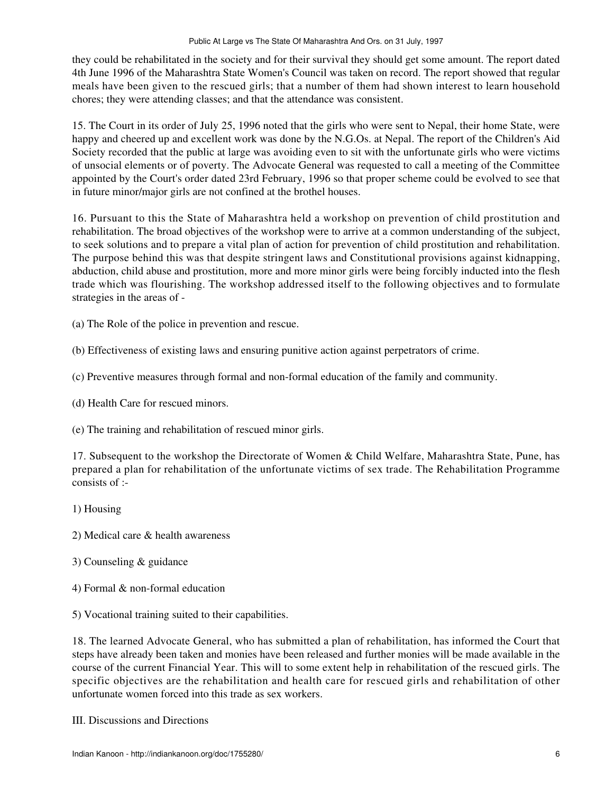they could be rehabilitated in the society and for their survival they should get some amount. The report dated 4th June 1996 of the Maharashtra State Women's Council was taken on record. The report showed that regular meals have been given to the rescued girls; that a number of them had shown interest to learn household chores; they were attending classes; and that the attendance was consistent.

15. The Court in its order of July 25, 1996 noted that the girls who were sent to Nepal, their home State, were happy and cheered up and excellent work was done by the N.G.Os. at Nepal. The report of the Children's Aid Society recorded that the public at large was avoiding even to sit with the unfortunate girls who were victims of unsocial elements or of poverty. The Advocate General was requested to call a meeting of the Committee appointed by the Court's order dated 23rd February, 1996 so that proper scheme could be evolved to see that in future minor/major girls are not confined at the brothel houses.

16. Pursuant to this the State of Maharashtra held a workshop on prevention of child prostitution and rehabilitation. The broad objectives of the workshop were to arrive at a common understanding of the subject, to seek solutions and to prepare a vital plan of action for prevention of child prostitution and rehabilitation. The purpose behind this was that despite stringent laws and Constitutional provisions against kidnapping, abduction, child abuse and prostitution, more and more minor girls were being forcibly inducted into the flesh trade which was flourishing. The workshop addressed itself to the following objectives and to formulate strategies in the areas of -

(a) The Role of the police in prevention and rescue.

- (b) Effectiveness of existing laws and ensuring punitive action against perpetrators of crime.
- (c) Preventive measures through formal and non-formal education of the family and community.
- (d) Health Care for rescued minors.

(e) The training and rehabilitation of rescued minor girls.

17. Subsequent to the workshop the Directorate of Women & Child Welfare, Maharashtra State, Pune, has prepared a plan for rehabilitation of the unfortunate victims of sex trade. The Rehabilitation Programme consists of :-

# 1) Housing

- 2) Medical care & health awareness
- 3) Counseling & guidance
- 4) Formal & non-formal education

5) Vocational training suited to their capabilities.

18. The learned Advocate General, who has submitted a plan of rehabilitation, has informed the Court that steps have already been taken and monies have been released and further monies will be made available in the course of the current Financial Year. This will to some extent help in rehabilitation of the rescued girls. The specific objectives are the rehabilitation and health care for rescued girls and rehabilitation of other unfortunate women forced into this trade as sex workers.

III. Discussions and Directions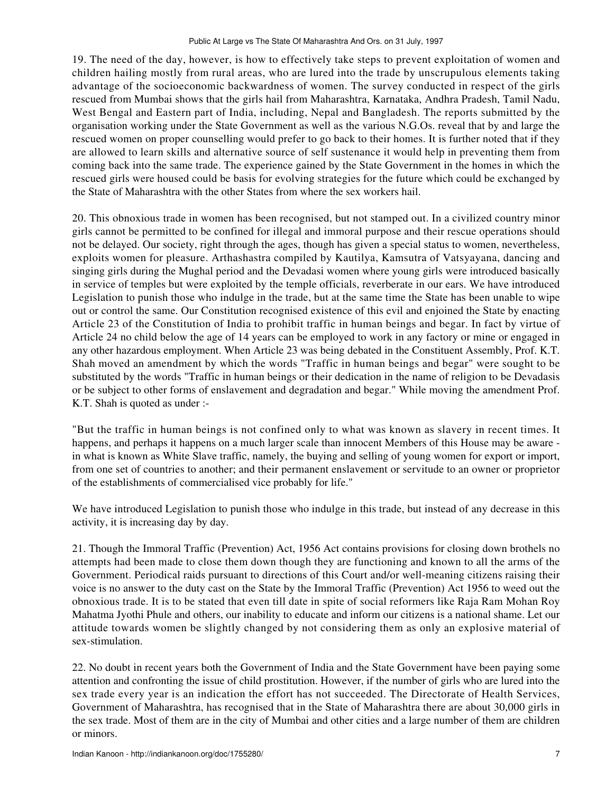19. The need of the day, however, is how to effectively take steps to prevent exploitation of women and children hailing mostly from rural areas, who are lured into the trade by unscrupulous elements taking advantage of the socioeconomic backwardness of women. The survey conducted in respect of the girls rescued from Mumbai shows that the girls hail from Maharashtra, Karnataka, Andhra Pradesh, Tamil Nadu, West Bengal and Eastern part of India, including, Nepal and Bangladesh. The reports submitted by the organisation working under the State Government as well as the various N.G.Os. reveal that by and large the rescued women on proper counselling would prefer to go back to their homes. It is further noted that if they are allowed to learn skills and alternative source of self sustenance it would help in preventing them from coming back into the same trade. The experience gained by the State Government in the homes in which the rescued girls were housed could be basis for evolving strategies for the future which could be exchanged by the State of Maharashtra with the other States from where the sex workers hail.

20. This obnoxious trade in women has been recognised, but not stamped out. In a civilized country minor girls cannot be permitted to be confined for illegal and immoral purpose and their rescue operations should not be delayed. Our society, right through the ages, though has given a special status to women, nevertheless, exploits women for pleasure. Arthashastra compiled by Kautilya, Kamsutra of Vatsyayana, dancing and singing girls during the Mughal period and the Devadasi women where young girls were introduced basically in service of temples but were exploited by the temple officials, reverberate in our ears. We have introduced Legislation to punish those who indulge in the trade, but at the same time the State has been unable to wipe out or control the same. Our Constitution recognised existence of this evil and enjoined the State by enacting Article 23 of the Constitution of India to prohibit traffic in human beings and begar. In fact by virtue of Article 24 no child below the age of 14 years can be employed to work in any factory or mine or engaged in any other hazardous employment. When Article 23 was being debated in the Constituent Assembly, Prof. K.T. Shah moved an amendment by which the words "Traffic in human beings and begar" were sought to be substituted by the words "Traffic in human beings or their dedication in the name of religion to be Devadasis or be subject to other forms of enslavement and degradation and begar." While moving the amendment Prof. K.T. Shah is quoted as under :-

"But the traffic in human beings is not confined only to what was known as slavery in recent times. It happens, and perhaps it happens on a much larger scale than innocent Members of this House may be aware in what is known as White Slave traffic, namely, the buying and selling of young women for export or import, from one set of countries to another; and their permanent enslavement or servitude to an owner or proprietor of the establishments of commercialised vice probably for life."

We have introduced Legislation to punish those who indulge in this trade, but instead of any decrease in this activity, it is increasing day by day.

21. Though the Immoral Traffic (Prevention) Act, 1956 Act contains provisions for closing down brothels no attempts had been made to close them down though they are functioning and known to all the arms of the Government. Periodical raids pursuant to directions of this Court and/or well-meaning citizens raising their voice is no answer to the duty cast on the State by the Immoral Traffic (Prevention) Act 1956 to weed out the obnoxious trade. It is to be stated that even till date in spite of social reformers like Raja Ram Mohan Roy Mahatma Jyothi Phule and others, our inability to educate and inform our citizens is a national shame. Let our attitude towards women be slightly changed by not considering them as only an explosive material of sex-stimulation.

22. No doubt in recent years both the Government of India and the State Government have been paying some attention and confronting the issue of child prostitution. However, if the number of girls who are lured into the sex trade every year is an indication the effort has not succeeded. The Directorate of Health Services, Government of Maharashtra, has recognised that in the State of Maharashtra there are about 30,000 girls in the sex trade. Most of them are in the city of Mumbai and other cities and a large number of them are children or minors.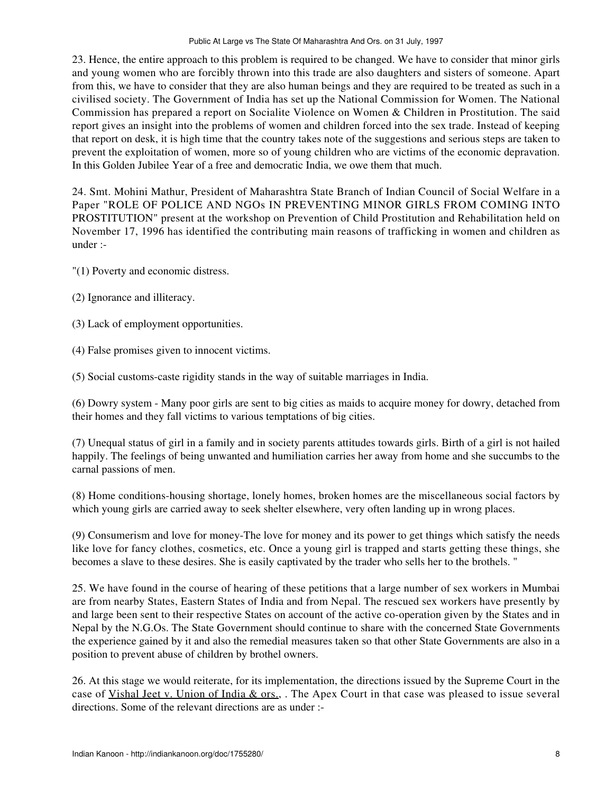23. Hence, the entire approach to this problem is required to be changed. We have to consider that minor girls and young women who are forcibly thrown into this trade are also daughters and sisters of someone. Apart from this, we have to consider that they are also human beings and they are required to be treated as such in a civilised society. The Government of India has set up the National Commission for Women. The National Commission has prepared a report on Socialite Violence on Women & Children in Prostitution. The said report gives an insight into the problems of women and children forced into the sex trade. Instead of keeping that report on desk, it is high time that the country takes note of the suggestions and serious steps are taken to prevent the exploitation of women, more so of young children who are victims of the economic depravation. In this Golden Jubilee Year of a free and democratic India, we owe them that much.

24. Smt. Mohini Mathur, President of Maharashtra State Branch of Indian Council of Social Welfare in a Paper "ROLE OF POLICE AND NGOs IN PREVENTING MINOR GIRLS FROM COMING INTO PROSTITUTION" present at the workshop on Prevention of Child Prostitution and Rehabilitation held on November 17, 1996 has identified the contributing main reasons of trafficking in women and children as under :-

"(1) Poverty and economic distress.

- (2) Ignorance and illiteracy.
- (3) Lack of employment opportunities.
- (4) False promises given to innocent victims.

(5) Social customs-caste rigidity stands in the way of suitable marriages in India.

(6) Dowry system - Many poor girls are sent to big cities as maids to acquire money for dowry, detached from their homes and they fall victims to various temptations of big cities.

(7) Unequal status of girl in a family and in society parents attitudes towards girls. Birth of a girl is not hailed happily. The feelings of being unwanted and humiliation carries her away from home and she succumbs to the carnal passions of men.

(8) Home conditions-housing shortage, lonely homes, broken homes are the miscellaneous social factors by which young girls are carried away to seek shelter elsewhere, very often landing up in wrong places.

(9) Consumerism and love for money-The love for money and its power to get things which satisfy the needs like love for fancy clothes, cosmetics, etc. Once a young girl is trapped and starts getting these things, she becomes a slave to these desires. She is easily captivated by the trader who sells her to the brothels. "

25. We have found in the course of hearing of these petitions that a large number of sex workers in Mumbai are from nearby States, Eastern States of India and from Nepal. The rescued sex workers have presently by and large been sent to their respective States on account of the active co-operation given by the States and in Nepal by the N.G.Os. The State Government should continue to share with the concerned State Governments the experience gained by it and also the remedial measures taken so that other State Governments are also in a position to prevent abuse of children by brothel owners.

26. At this stage we would reiterate, for its implementation, the directions issued by the Supreme Court in the case of Vishal Jeet v. Union of India & ors., . The Apex Court in that case was pleased to issue several directions. Some of the relevant directions are as under :-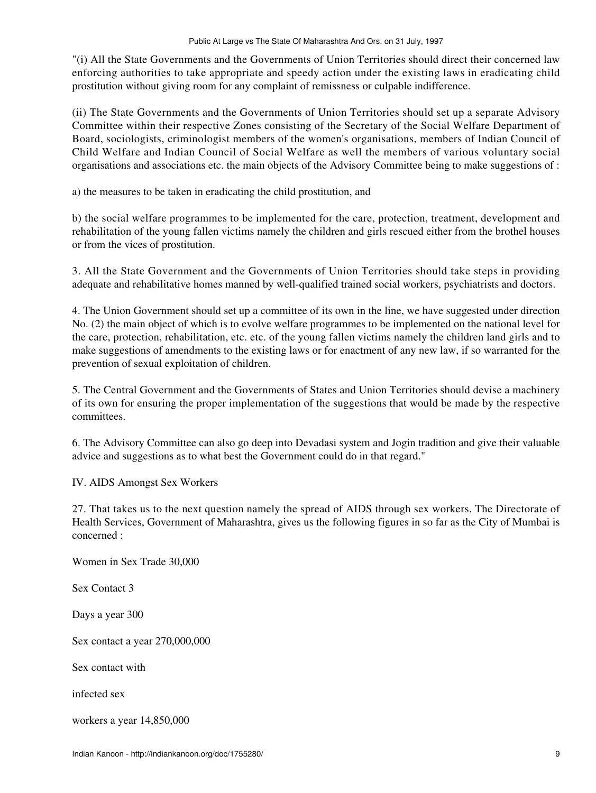"(i) All the State Governments and the Governments of Union Territories should direct their concerned law enforcing authorities to take appropriate and speedy action under the existing laws in eradicating child prostitution without giving room for any complaint of remissness or culpable indifference.

(ii) The State Governments and the Governments of Union Territories should set up a separate Advisory Committee within their respective Zones consisting of the Secretary of the Social Welfare Department of Board, sociologists, criminologist members of the women's organisations, members of Indian Council of Child Welfare and Indian Council of Social Welfare as well the members of various voluntary social organisations and associations etc. the main objects of the Advisory Committee being to make suggestions of :

a) the measures to be taken in eradicating the child prostitution, and

b) the social welfare programmes to be implemented for the care, protection, treatment, development and rehabilitation of the young fallen victims namely the children and girls rescued either from the brothel houses or from the vices of prostitution.

3. All the State Government and the Governments of Union Territories should take steps in providing adequate and rehabilitative homes manned by well-qualified trained social workers, psychiatrists and doctors.

4. The Union Government should set up a committee of its own in the line, we have suggested under direction No. (2) the main object of which is to evolve welfare programmes to be implemented on the national level for the care, protection, rehabilitation, etc. etc. of the young fallen victims namely the children land girls and to make suggestions of amendments to the existing laws or for enactment of any new law, if so warranted for the prevention of sexual exploitation of children.

5. The Central Government and the Governments of States and Union Territories should devise a machinery of its own for ensuring the proper implementation of the suggestions that would be made by the respective committees.

6. The Advisory Committee can also go deep into Devadasi system and Jogin tradition and give their valuable advice and suggestions as to what best the Government could do in that regard."

IV. AIDS Amongst Sex Workers

27. That takes us to the next question namely the spread of AIDS through sex workers. The Directorate of Health Services, Government of Maharashtra, gives us the following figures in so far as the City of Mumbai is concerned :

Women in Sex Trade 30,000

Sex Contact 3

Days a year 300

Sex contact a year 270,000,000

Sex contact with

infected sex

workers a year 14,850,000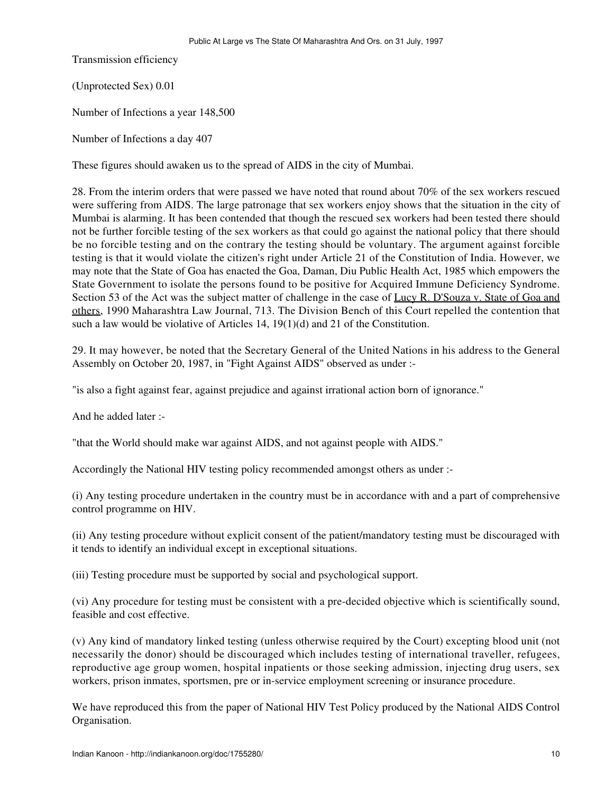Transmission efficiency

(Unprotected Sex) 0.01

Number of Infections a year 148,500

Number of Infections a day 407

These figures should awaken us to the spread of AIDS in the city of Mumbai.

28. From the interim orders that were passed we have noted that round about 70% of the sex workers rescued were suffering from AIDS. The large patronage that sex workers enjoy shows that the situation in the city of Mumbai is alarming. It has been contended that though the rescued sex workers had been tested there should not be further forcible testing of the sex workers as that could go against the national policy that there should be no forcible testing and on the contrary the testing should be voluntary. The argument against forcible testing is that it would violate the citizen's right under Article 21 of the Constitution of India. However, we may note that the State of Goa has enacted the Goa, Daman, Diu Public Health Act, 1985 which empowers the State Government to isolate the persons found to be positive for Acquired Immune Deficiency Syndrome. Section 53 of the Act was the subject matter of challenge in the case of Lucy R. D'Souza v. State of Goa and others, 1990 Maharashtra Law Journal, 713. The Division Bench of this Court repelled the contention that such a law would be violative of Articles 14,  $19(1)(d)$  and 21 of the Constitution.

29. It may however, be noted that the Secretary General of the United Nations in his address to the General Assembly on October 20, 1987, in "Fight Against AIDS" observed as under :-

"is also a fight against fear, against prejudice and against irrational action born of ignorance."

And he added later :-

"that the World should make war against AIDS, and not against people with AIDS."

Accordingly the National HIV testing policy recommended amongst others as under :-

(i) Any testing procedure undertaken in the country must be in accordance with and a part of comprehensive control programme on HIV.

(ii) Any testing procedure without explicit consent of the patient/mandatory testing must be discouraged with it tends to identify an individual except in exceptional situations.

(iii) Testing procedure must be supported by social and psychological support.

(vi) Any procedure for testing must be consistent with a pre-decided objective which is scientifically sound, feasible and cost effective.

(v) Any kind of mandatory linked testing (unless otherwise required by the Court) excepting blood unit (not necessarily the donor) should be discouraged which includes testing of international traveller, refugees, reproductive age group women, hospital inpatients or those seeking admission, injecting drug users, sex workers, prison inmates, sportsmen, pre or in-service employment screening or insurance procedure.

We have reproduced this from the paper of National HIV Test Policy produced by the National AIDS Control Organisation.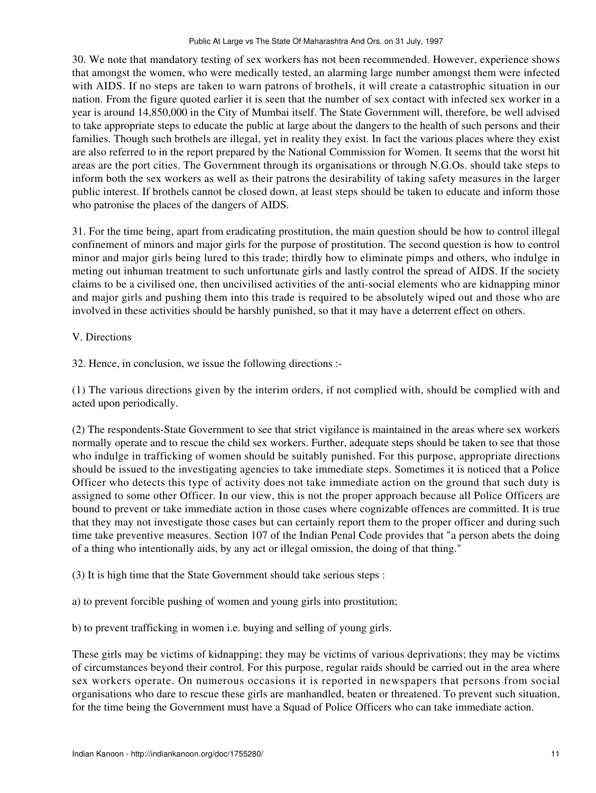30. We note that mandatory testing of sex workers has not been recommended. However, experience shows that amongst the women, who were medically tested, an alarming large number amongst them were infected with AIDS. If no steps are taken to warn patrons of brothels, it will create a catastrophic situation in our nation. From the figure quoted earlier it is seen that the number of sex contact with infected sex worker in a year is around 14,850,000 in the City of Mumbai itself. The State Government will, therefore, be well advised to take appropriate steps to educate the public at large about the dangers to the health of such persons and their families. Though such brothels are illegal, yet in reality they exist. In fact the various places where they exist are also referred to in the report prepared by the National Commission for Women. It seems that the worst hit areas are the port cities. The Government through its organisations or through N.G.Os. should take steps to inform both the sex workers as well as their patrons the desirability of taking safety measures in the larger public interest. If brothels cannot be closed down, at least steps should be taken to educate and inform those who patronise the places of the dangers of AIDS.

31. For the time being, apart from eradicating prostitution, the main question should be how to control illegal confinement of minors and major girls for the purpose of prostitution. The second question is how to control minor and major girls being lured to this trade; thirdly how to eliminate pimps and others, who indulge in meting out inhuman treatment to such unfortunate girls and lastly control the spread of AIDS. If the society claims to be a civilised one, then uncivilised activities of the anti-social elements who are kidnapping minor and major girls and pushing them into this trade is required to be absolutely wiped out and those who are involved in these activities should be harshly punished, so that it may have a deterrent effect on others.

# V. Directions

32. Hence, in conclusion, we issue the following directions :-

(1) The various directions given by the interim orders, if not complied with, should be complied with and acted upon periodically.

(2) The respondents-State Government to see that strict vigilance is maintained in the areas where sex workers normally operate and to rescue the child sex workers. Further, adequate steps should be taken to see that those who indulge in trafficking of women should be suitably punished. For this purpose, appropriate directions should be issued to the investigating agencies to take immediate steps. Sometimes it is noticed that a Police Officer who detects this type of activity does not take immediate action on the ground that such duty is assigned to some other Officer. In our view, this is not the proper approach because all Police Officers are bound to prevent or take immediate action in those cases where cognizable offences are committed. It is true that they may not investigate those cases but can certainly report them to the proper officer and during such time take preventive measures. Section 107 of the Indian Penal Code provides that "a person abets the doing of a thing who intentionally aids, by any act or illegal omission, the doing of that thing."

(3) It is high time that the State Government should take serious steps :

a) to prevent forcible pushing of women and young girls into prostitution;

b) to prevent trafficking in women i.e. buying and selling of young girls.

These girls may be victims of kidnapping; they may be victims of various deprivations; they may be victims of circumstances beyond their control. For this purpose, regular raids should be carried out in the area where sex workers operate. On numerous occasions it is reported in newspapers that persons from social organisations who dare to rescue these girls are manhandled, beaten or threatened. To prevent such situation, for the time being the Government must have a Squad of Police Officers who can take immediate action.